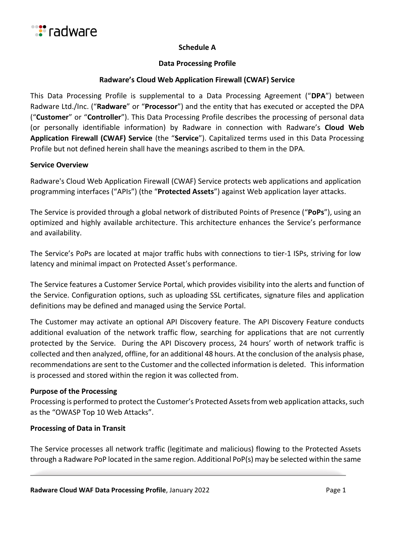

## **Schedule A**

## **Data Processing Profile**

## **Radware's Cloud Web Application Firewall (CWAF) Service**

This Data Processing Profile is supplemental to a Data Processing Agreement ("**DPA**") between Radware Ltd./Inc. ("**Radware**" or "**Processor**") and the entity that has executed or accepted the DPA ("**Customer**" or "**Controller**"). This Data Processing Profile describes the processing of personal data (or personally identifiable information) by Radware in connection with Radware's **Cloud Web Application Firewall (CWAF) Service** (the "**Service**"). Capitalized terms used in this Data Processing Profile but not defined herein shall have the meanings ascribed to them in the DPA.

## **Service Overview**

Radware's Cloud Web Application Firewall (CWAF) Service protects web applications and application programming interfaces ("APIs") (the "**Protected Assets**") against Web application layer attacks.

The Service is provided through a global network of distributed Points of Presence ("**PoPs**"), using an optimized and highly available architecture. This architecture enhances the Service's performance and availability.

The Service's PoPs are located at major traffic hubs with connections to tier-1 ISPs, striving for low latency and minimal impact on Protected Asset's performance.

The Service features a Customer Service Portal, which provides visibility into the alerts and function of the Service. Configuration options, such as uploading SSL certificates, signature files and application definitions may be defined and managed using the Service Portal.

The Customer may activate an optional API Discovery feature. The API Discovery Feature conducts additional evaluation of the network traffic flow, searching for applications that are not currently protected by the Service. During the API Discovery process, 24 hours' worth of network traffic is collected and then analyzed, offline, for an additional 48 hours. At the conclusion of the analysis phase, recommendations are sent to the Customer and the collected information is deleted. This information is processed and stored within the region it was collected from.

## **Purpose of the Processing**

Processing is performed to protect the Customer's Protected Assets from web application attacks, such as the "OWASP Top 10 Web Attacks".

## **Processing of Data in Transit**

The Service processes all network traffic (legitimate and malicious) flowing to the Protected Assets through a Radware PoP located in the same region. Additional PoP(s) may be selected within the same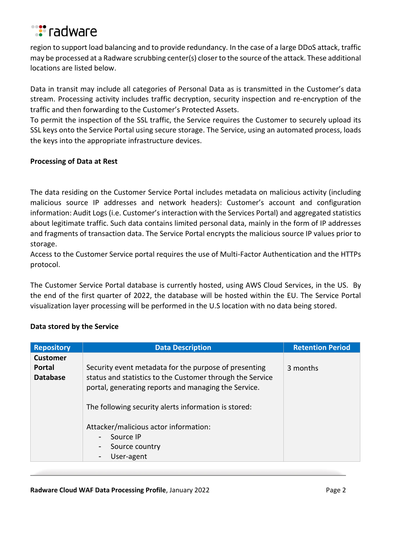

region to support load balancing and to provide redundancy. In the case of a large DDoS attack, traffic may be processed at a Radware scrubbing center(s) closer to the source of the attack. These additional locations are listed below.

Data in transit may include all categories of Personal Data as is transmitted in the Customer's data stream. Processing activity includes traffic decryption, security inspection and re-encryption of the traffic and then forwarding to the Customer's Protected Assets.

To permit the inspection of the SSL traffic, the Service requires the Customer to securely upload its SSL keys onto the Service Portal using secure storage. The Service, using an automated process, loads the keys into the appropriate infrastructure devices.

## **Processing of Data at Rest**

The data residing on the Customer Service Portal includes metadata on malicious activity (including malicious source IP addresses and network headers): Customer's account and configuration information: Audit Logs (i.e. Customer's interaction with the Services Portal) and aggregated statistics about legitimate traffic. Such data contains limited personal data, mainly in the form of IP addresses and fragments of transaction data. The Service Portal encrypts the malicious source IP values prior to storage.

Access to the Customer Service portal requires the use of Multi-Factor Authentication and the HTTPs protocol.

The Customer Service Portal database is currently hosted, using AWS Cloud Services, in the US. By the end of the first quarter of 2022, the database will be hosted within the EU. The Service Portal visualization layer processing will be performed in the U.S location with no data being stored.

## **Data stored by the Service**

| <b>Repository</b>                                   | <b>Data Description</b>                                                                                                                                                                                                                                                                                                                | <b>Retention Period</b> |
|-----------------------------------------------------|----------------------------------------------------------------------------------------------------------------------------------------------------------------------------------------------------------------------------------------------------------------------------------------------------------------------------------------|-------------------------|
| <b>Customer</b><br><b>Portal</b><br><b>Database</b> | Security event metadata for the purpose of presenting<br>status and statistics to the Customer through the Service<br>portal, generating reports and managing the Service.<br>The following security alerts information is stored:<br>Attacker/malicious actor information:<br>Source IP<br>$\overline{\phantom{a}}$<br>Source country | 3 months                |
|                                                     | User-agent                                                                                                                                                                                                                                                                                                                             |                         |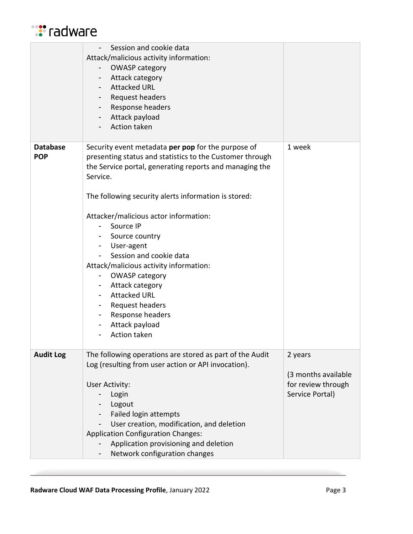

|                               | Session and cookie data<br>Attack/malicious activity information:<br><b>OWASP category</b><br>۰.<br>Attack category<br><b>Attacked URL</b><br>۰.<br>Request headers<br>Response headers<br>$\sim$<br>Attack payload<br>Action taken                                                                                                                                                                                                                                                                                                                                                     |                                                                         |
|-------------------------------|-----------------------------------------------------------------------------------------------------------------------------------------------------------------------------------------------------------------------------------------------------------------------------------------------------------------------------------------------------------------------------------------------------------------------------------------------------------------------------------------------------------------------------------------------------------------------------------------|-------------------------------------------------------------------------|
| <b>Database</b><br><b>POP</b> | Security event metadata per pop for the purpose of<br>presenting status and statistics to the Customer through<br>the Service portal, generating reports and managing the<br>Service.<br>The following security alerts information is stored:<br>Attacker/malicious actor information:<br>Source IP<br>Source country<br>User-agent<br>$\blacksquare$<br>Session and cookie data<br>Attack/malicious activity information:<br><b>OWASP category</b><br>Attack category<br>$\sim$<br><b>Attacked URL</b><br>Request headers<br>Response headers<br>Attack payload<br><b>Action taken</b> | 1 week                                                                  |
| <b>Audit Log</b>              | The following operations are stored as part of the Audit<br>Log (resulting from user action or API invocation).<br>User Activity:<br>Login<br>Logout<br>Failed login attempts<br>User creation, modification, and deletion<br><b>Application Configuration Changes:</b><br>Application provisioning and deletion<br>Network configuration changes                                                                                                                                                                                                                                       | 2 years<br>(3 months available<br>for review through<br>Service Portal) |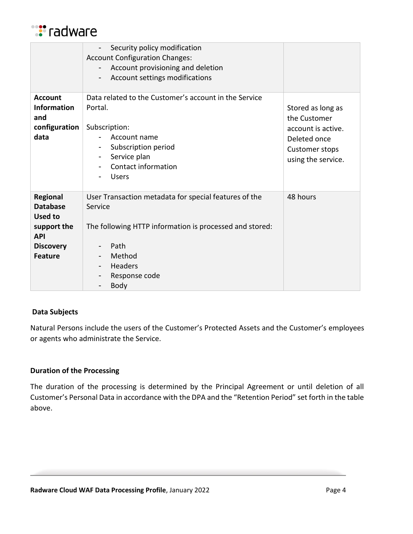

|                                                                                                                         | Security policy modification<br><b>Account Configuration Changes:</b><br>Account provisioning and deletion<br>Account settings modifications<br>$\overline{\phantom{0}}$                 |                                                                                                                 |
|-------------------------------------------------------------------------------------------------------------------------|------------------------------------------------------------------------------------------------------------------------------------------------------------------------------------------|-----------------------------------------------------------------------------------------------------------------|
| <b>Account</b><br><b>Information</b><br>and<br>configuration<br>data                                                    | Data related to the Customer's account in the Service<br>Portal.<br>Subscription:<br>Account name<br>Subscription period<br>Service plan<br>-<br>Contact information<br><b>Users</b>     | Stored as long as<br>the Customer<br>account is active.<br>Deleted once<br>Customer stops<br>using the service. |
| <b>Regional</b><br><b>Database</b><br><b>Used to</b><br>support the<br><b>API</b><br><b>Discovery</b><br><b>Feature</b> | User Transaction metadata for special features of the<br>Service<br>The following HTTP information is processed and stored:<br>Path<br>Method<br>Headers<br>Response code<br><b>Body</b> | 48 hours                                                                                                        |

## **Data Subjects**

Natural Persons include the users of the Customer's Protected Assets and the Customer's employees or agents who administrate the Service.

# **Duration of the Processing**

The duration of the processing is determined by the Principal Agreement or until deletion of all Customer's Personal Data in accordance with the DPA and the "Retention Period" set forth in the table above.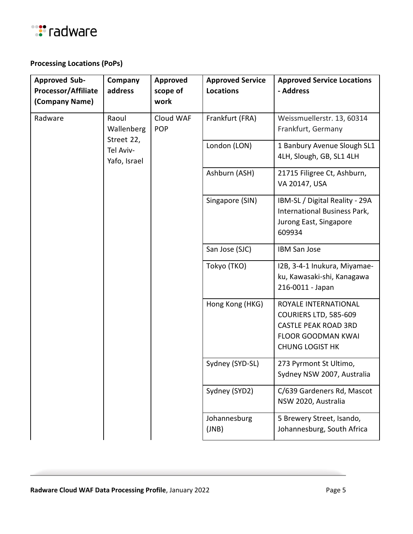

# **Processing Locations (PoPs)**

| <b>Approved Sub-</b><br>Processor/Affiliate<br>(Company Name) | Company<br>address                | <b>Approved</b><br>scope of<br>work | <b>Approved Service</b><br><b>Locations</b>          | <b>Approved Service Locations</b><br>- Address                                                                                      |
|---------------------------------------------------------------|-----------------------------------|-------------------------------------|------------------------------------------------------|-------------------------------------------------------------------------------------------------------------------------------------|
| Radware                                                       | Raoul<br>Wallenberg<br>Street 22, | Cloud WAF<br><b>POP</b>             | Frankfurt (FRA)                                      | Weissmuellerstr. 13, 60314<br>Frankfurt, Germany                                                                                    |
|                                                               | Tel Aviv-<br>Yafo, Israel         |                                     | London (LON)                                         | 1 Banbury Avenue Slough SL1<br>4LH, Slough, GB, SL1 4LH                                                                             |
|                                                               |                                   |                                     | Ashburn (ASH)                                        | 21715 Filigree Ct, Ashburn,<br>VA 20147, USA                                                                                        |
|                                                               |                                   |                                     | Singapore (SIN)                                      | IBM-SL / Digital Reality - 29A<br>International Business Park,<br>Jurong East, Singapore<br>609934                                  |
|                                                               |                                   |                                     | San Jose (SJC)                                       | <b>IBM San Jose</b>                                                                                                                 |
|                                                               |                                   |                                     | Tokyo (TKO)                                          | I2B, 3-4-1 Inukura, Miyamae-<br>ku, Kawasaki-shi, Kanagawa<br>216-0011 - Japan                                                      |
|                                                               |                                   |                                     | Hong Kong (HKG)                                      | ROYALE INTERNATIONAL<br>COURIERS LTD, 585-609<br><b>CASTLE PEAK ROAD 3RD</b><br><b>FLOOR GOODMAN KWAI</b><br><b>CHUNG LOGIST HK</b> |
|                                                               |                                   | Sydney (SYD-SL)                     | 273 Pyrmont St Ultimo,<br>Sydney NSW 2007, Australia |                                                                                                                                     |
|                                                               |                                   |                                     | Sydney (SYD2)                                        | C/639 Gardeners Rd, Mascot<br>NSW 2020, Australia                                                                                   |
|                                                               |                                   |                                     | Johannesburg<br>(JNB)                                | 5 Brewery Street, Isando,<br>Johannesburg, South Africa                                                                             |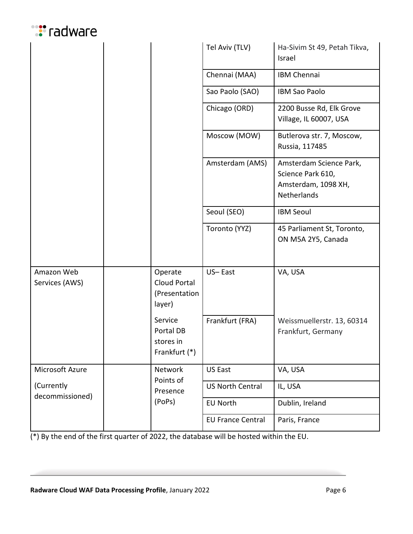# **:**"radware

|                               |                                                    | Tel Aviv (TLV)           | Ha-Sivim St 49, Petah Tikva,<br>Israel                                             |
|-------------------------------|----------------------------------------------------|--------------------------|------------------------------------------------------------------------------------|
|                               |                                                    | Chennai (MAA)            | <b>IBM Chennai</b>                                                                 |
|                               |                                                    | Sao Paolo (SAO)          | <b>IBM Sao Paolo</b>                                                               |
|                               |                                                    | Chicago (ORD)            | 2200 Busse Rd, Elk Grove<br>Village, IL 60007, USA                                 |
|                               |                                                    | Moscow (MOW)             | Butlerova str. 7, Moscow,<br>Russia, 117485                                        |
|                               |                                                    | Amsterdam (AMS)          | Amsterdam Science Park,<br>Science Park 610,<br>Amsterdam, 1098 XH,<br>Netherlands |
|                               |                                                    | Seoul (SEO)              | <b>IBM Seoul</b>                                                                   |
|                               |                                                    | Toronto (YYZ)            | 45 Parliament St, Toronto,<br>ON M5A 2Y5, Canada                                   |
| Amazon Web<br>Services (AWS)  | Operate<br>Cloud Portal<br>(Presentation<br>layer) | US-East                  | VA, USA                                                                            |
|                               | Service<br>Portal DB<br>stores in<br>Frankfurt (*) | Frankfurt (FRA)          | Weissmuellerstr. 13, 60314<br>Frankfurt, Germany                                   |
| Microsoft Azure               | Network<br>Points of                               | US East                  | VA, USA                                                                            |
| (Currently<br>decommissioned) | Presence                                           | <b>US North Central</b>  | IL, USA                                                                            |
|                               | (PoPs)                                             | <b>EU North</b>          | Dublin, Ireland                                                                    |
|                               |                                                    | <b>EU France Central</b> | Paris, France                                                                      |

(\*) By the end of the first quarter of 2022, the database will be hosted within the EU.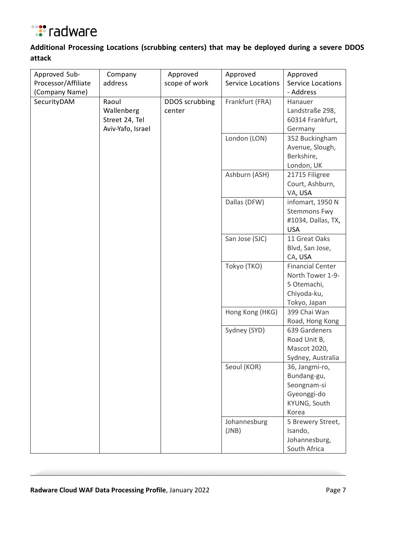

# **Additional Processing Locations (scrubbing centers) that may be deployed during a severe DDOS attack**

| Approved Sub-       | Company           | Approved       | Approved                 | Approved                |
|---------------------|-------------------|----------------|--------------------------|-------------------------|
| Processor/Affiliate | address           | scope of work  | <b>Service Locations</b> | Service Locations       |
| (Company Name)      |                   |                |                          | - Address               |
| SecurityDAM         | Raoul             | DDOS scrubbing | Frankfurt (FRA)          | Hanauer                 |
|                     | Wallenberg        | center         |                          | Landstraße 298,         |
|                     | Street 24, Tel    |                |                          | 60314 Frankfurt,        |
|                     | Aviv-Yafo, Israel |                |                          | Germany                 |
|                     |                   |                | London (LON)             | 352 Buckingham          |
|                     |                   |                |                          | Avenue, Slough,         |
|                     |                   |                |                          | Berkshire,              |
|                     |                   |                |                          | London, UK              |
|                     |                   |                | Ashburn (ASH)            | 21715 Filigree          |
|                     |                   |                |                          | Court, Ashburn,         |
|                     |                   |                |                          | VA, USA                 |
|                     |                   |                | Dallas (DFW)             | infomart, 1950 N        |
|                     |                   |                |                          | <b>Stemmons Fwy</b>     |
|                     |                   |                |                          | #1034, Dallas, TX,      |
|                     |                   |                |                          | <b>USA</b>              |
|                     |                   |                | San Jose (SJC)           | 11 Great Oaks           |
|                     |                   |                |                          | Blvd, San Jose,         |
|                     |                   |                |                          | CA, USA                 |
|                     |                   |                | Tokyo (TKO)              | <b>Financial Center</b> |
|                     |                   |                |                          | North Tower 1-9-        |
|                     |                   |                |                          | 5 Otemachi,             |
|                     |                   |                |                          | Chiyoda-ku,             |
|                     |                   |                |                          | Tokyo, Japan            |
|                     |                   |                | Hong Kong (HKG)          | 399 Chai Wan            |
|                     |                   |                |                          | Road, Hong Kong         |
|                     |                   |                | Sydney (SYD)             | 639 Gardeners           |
|                     |                   |                |                          | Road Unit B,            |
|                     |                   |                |                          | Mascot 2020,            |
|                     |                   |                |                          | Sydney, Australia       |
|                     |                   |                | Seoul (KOR)              | 36, Jangmi-ro,          |
|                     |                   |                |                          | Bundang-gu,             |
|                     |                   |                |                          | Seongnam-si             |
|                     |                   |                |                          | Gyeonggi-do             |
|                     |                   |                |                          | KYUNG, South            |
|                     |                   |                |                          | Korea                   |
|                     |                   |                | Johannesburg             | 5 Brewery Street,       |
|                     |                   |                | (JNB)                    | Isando,                 |
|                     |                   |                |                          | Johannesburg,           |
|                     |                   |                |                          | South Africa            |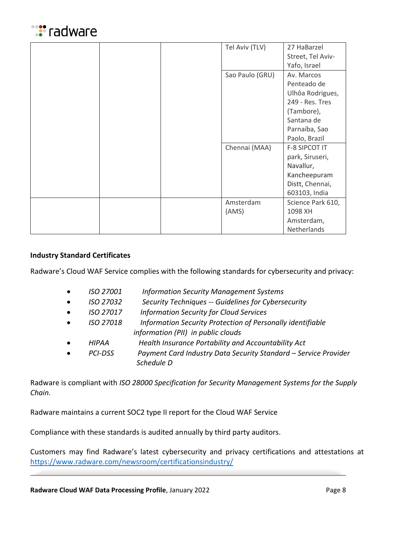

|  | Tel Aviv (TLV)  | 27 HaBarzel       |
|--|-----------------|-------------------|
|  |                 | Street, Tel Aviv- |
|  |                 | Yafo, Israel      |
|  | Sao Paulo (GRU) | Av. Marcos        |
|  |                 | Penteado de       |
|  |                 | Ulhôa Rodrigues,  |
|  |                 | 249 - Res. Tres   |
|  |                 | (Tambore),        |
|  |                 | Santana de        |
|  |                 | Parnaíba, Sao     |
|  |                 | Paolo, Brazil     |
|  | Chennai (MAA)   | F-8 SIPCOT IT     |
|  |                 | park, Siruseri,   |
|  |                 | Navallur,         |
|  |                 | Kancheepuram      |
|  |                 | Distt, Chennai,   |
|  |                 | 603103, India     |
|  | Amsterdam       | Science Park 610, |
|  | (AMS)           | 1098 XH           |
|  |                 | Amsterdam,        |
|  |                 | Netherlands       |

## **Industry Standard Certificates**

Radware's Cloud WAF Service complies with the following standards for cybersecurity and privacy:

| $\bullet$ | ISO 27001 | <b>Information Security Management Systems</b>                  |
|-----------|-----------|-----------------------------------------------------------------|
| $\bullet$ | ISO 27032 | Security Techniques -- Guidelines for Cybersecurity             |
| $\bullet$ | ISO 27017 | <b>Information Security for Cloud Services</b>                  |
| $\bullet$ | ISO 27018 | Information Security Protection of Personally identifiable      |
|           |           | information (PII) in public clouds                              |
| $\bullet$ | HIPAA     | Health Insurance Portability and Accountability Act             |
|           | PCI-DSS   | Payment Card Industry Data Security Standard - Service Provider |
|           |           | Schedule D                                                      |

Radware is compliant with *ISO 28000 Specification for Security Management Systems for the Supply Chain.*

Radware maintains a current SOC2 type II report for the Cloud WAF Service

Compliance with these standards is audited annually by third party auditors.

Customers may find Radware's latest cybersecurity and privacy certifications and attestations at <https://www.radware.com/newsroom/certificationsindustry/>